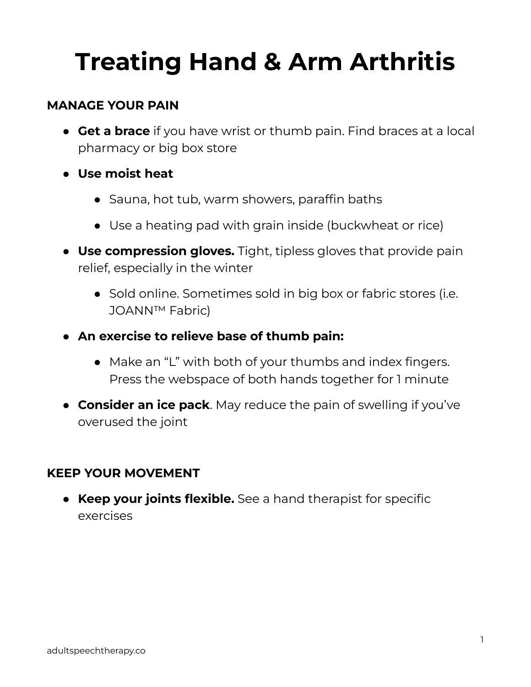## **Treating Hand & Arm Arthritis**

## **MANAGE YOUR PAIN**

- **Get a brace** if you have wrist or thumb pain. Find braces at a local pharmacy or big box store
- **● Use moist heat**
	- Sauna, hot tub, warm showers, paraffin baths
	- Use a heating pad with grain inside (buckwheat or rice)
- **Use compression gloves.** Tight, tipless gloves that provide pain relief, especially in the winter
	- Sold online. Sometimes sold in big box or fabric stores (i.e. JOANN™ Fabric)
- **An exercise to relieve base of thumb pain:**
	- Make an "L" with both of your thumbs and index fingers. Press the webspace of both hands together for 1 minute
- **Consider an ice pack**. May reduce the pain of swelling if you've overused the joint

## **KEEP YOUR MOVEMENT**

● **Keep your joints flexible.** See a hand therapist for specific exercises